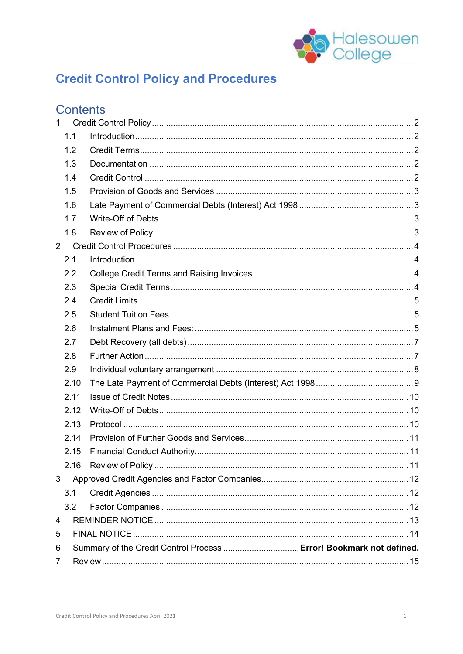

# **Credit Control Policy and Procedures**

# Contents

| $\mathbf{1}$   |                                                                     |  |  |
|----------------|---------------------------------------------------------------------|--|--|
|                | 1.1                                                                 |  |  |
|                | 1.2                                                                 |  |  |
|                | 1.3                                                                 |  |  |
|                | 1.4                                                                 |  |  |
|                | 1.5                                                                 |  |  |
|                | 1.6                                                                 |  |  |
|                | 1.7                                                                 |  |  |
|                | 1.8                                                                 |  |  |
| $\overline{2}$ |                                                                     |  |  |
|                | 2.1                                                                 |  |  |
|                | 2.2                                                                 |  |  |
|                | 2.3                                                                 |  |  |
|                | 2.4                                                                 |  |  |
|                | 2.5                                                                 |  |  |
|                | 2.6                                                                 |  |  |
|                | 2.7                                                                 |  |  |
|                | 2.8                                                                 |  |  |
|                | 2.9                                                                 |  |  |
|                | 2.10                                                                |  |  |
|                | 2.11                                                                |  |  |
|                | 2.12                                                                |  |  |
|                | 2.13                                                                |  |  |
|                | 2.14                                                                |  |  |
|                | 2.15                                                                |  |  |
|                | 2.16                                                                |  |  |
| 3              |                                                                     |  |  |
|                | 3.1                                                                 |  |  |
|                | 3.2                                                                 |  |  |
| 4              |                                                                     |  |  |
| 5              |                                                                     |  |  |
| 6              | Summary of the Credit Control Process  Error! Bookmark not defined. |  |  |
| $\overline{7}$ |                                                                     |  |  |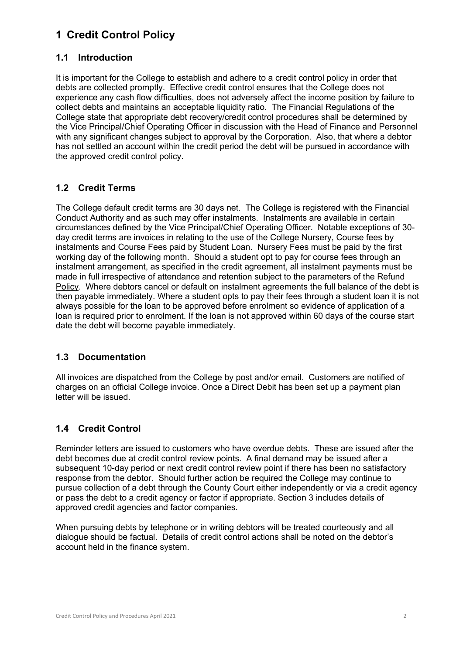# **1 Credit Control Policy**

### **1.1 Introduction**

It is important for the College to establish and adhere to a credit control policy in order that debts are collected promptly. Effective credit control ensures that the College does not experience any cash flow difficulties, does not adversely affect the income position by failure to collect debts and maintains an acceptable liquidity ratio. The Financial Regulations of the College state that appropriate debt recovery/credit control procedures shall be determined by the Vice Principal/Chief Operating Officer in discussion with the Head of Finance and Personnel with any significant changes subject to approval by the Corporation. Also, that where a debtor has not settled an account within the credit period the debt will be pursued in accordance with the approved credit control policy.

# **1.2 Credit Terms**

The College default credit terms are 30 days net. The College is registered with the Financial Conduct Authority and as such may offer instalments. Instalments are available in certain circumstances defined by the Vice Principal/Chief Operating Officer. Notable exceptions of 30 day credit terms are invoices in relating to the use of the College Nursery, Course fees by instalments and Course Fees paid by Student Loan. Nursery Fees must be paid by the first working day of the following month. Should a student opt to pay for course fees through an instalment arrangement, as specified in the credit agreement, all instalment payments must be made in full irrespective of attendance and retention subject to the parameters of the Refund Policy. Where debtors cancel or default on instalment agreements the full balance of the debt is then payable immediately. Where a student opts to pay their fees through a student loan it is not always possible for the loan to be approved before enrolment so evidence of application of a loan is required prior to enrolment. If the loan is not approved within 60 days of the course start date the debt will become payable immediately.

#### **1.3 Documentation**

All invoices are dispatched from the College by post and/or email. Customers are notified of charges on an official College invoice. Once a Direct Debit has been set up a payment plan letter will be issued.

# **1.4 Credit Control**

Reminder letters are issued to customers who have overdue debts. These are issued after the debt becomes due at credit control review points. A final demand may be issued after a subsequent 10-day period or next credit control review point if there has been no satisfactory response from the debtor. Should further action be required the College may continue to pursue collection of a debt through the County Court either independently or via a credit agency or pass the debt to a credit agency or factor if appropriate. Section 3 includes details of approved credit agencies and factor companies.

When pursuing debts by telephone or in writing debtors will be treated courteously and all dialogue should be factual. Details of credit control actions shall be noted on the debtor's account held in the finance system.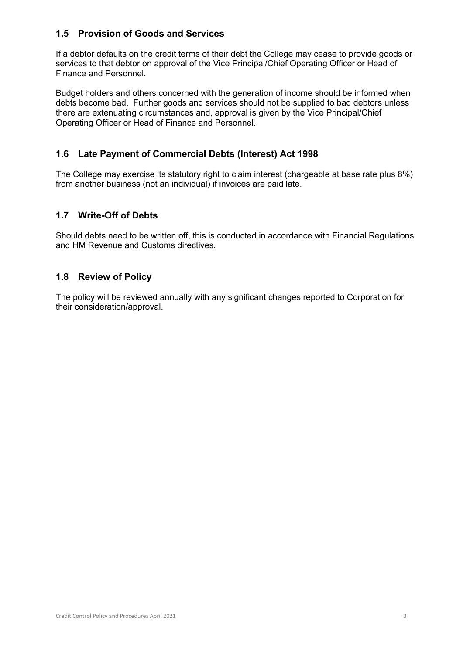#### **1.5 Provision of Goods and Services**

If a debtor defaults on the credit terms of their debt the College may cease to provide goods or services to that debtor on approval of the Vice Principal/Chief Operating Officer or Head of Finance and Personnel.

Budget holders and others concerned with the generation of income should be informed when debts become bad. Further goods and services should not be supplied to bad debtors unless there are extenuating circumstances and, approval is given by the Vice Principal/Chief Operating Officer or Head of Finance and Personnel.

# **1.6 Late Payment of Commercial Debts (Interest) Act 1998**

The College may exercise its statutory right to claim interest (chargeable at base rate plus 8%) from another business (not an individual) if invoices are paid late.

### **1.7 Write-Off of Debts**

Should debts need to be written off, this is conducted in accordance with Financial Regulations and HM Revenue and Customs directives.

### **1.8 Review of Policy**

The policy will be reviewed annually with any significant changes reported to Corporation for their consideration/approval.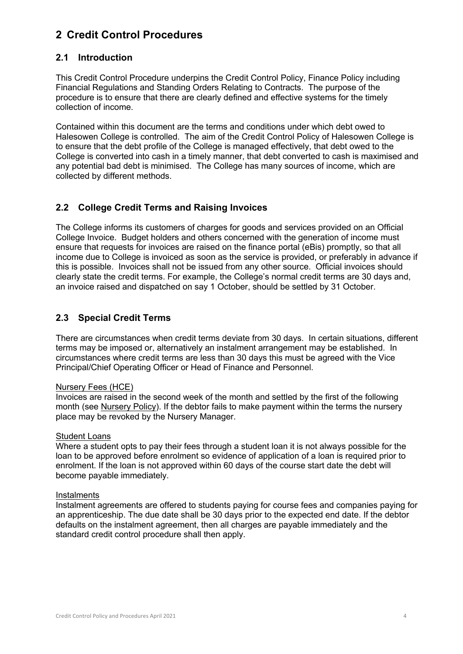# **2 Credit Control Procedures**

#### **2.1 Introduction**

This Credit Control Procedure underpins the Credit Control Policy, Finance Policy including Financial Regulations and Standing Orders Relating to Contracts. The purpose of the procedure is to ensure that there are clearly defined and effective systems for the timely collection of income.

Contained within this document are the terms and conditions under which debt owed to Halesowen College is controlled. The aim of the Credit Control Policy of Halesowen College is to ensure that the debt profile of the College is managed effectively, that debt owed to the College is converted into cash in a timely manner, that debt converted to cash is maximised and any potential bad debt is minimised. The College has many sources of income, which are collected by different methods.

### **2.2 College Credit Terms and Raising Invoices**

The College informs its customers of charges for goods and services provided on an Official College Invoice. Budget holders and others concerned with the generation of income must ensure that requests for invoices are raised on the finance portal (eBis) promptly, so that all income due to College is invoiced as soon as the service is provided, or preferably in advance if this is possible. Invoices shall not be issued from any other source. Official invoices should clearly state the credit terms. For example, the College's normal credit terms are 30 days and, an invoice raised and dispatched on say 1 October, should be settled by 31 October.

### **2.3 Special Credit Terms**

There are circumstances when credit terms deviate from 30 days. In certain situations, different terms may be imposed or, alternatively an instalment arrangement may be established. In circumstances where credit terms are less than 30 days this must be agreed with the Vice Principal/Chief Operating Officer or Head of Finance and Personnel.

#### Nursery Fees (HCE)

Invoices are raised in the second week of the month and settled by the first of the following month (see Nursery Policy). If the debtor fails to make payment within the terms the nursery place may be revoked by the Nursery Manager.

#### Student Loans

Where a student opts to pay their fees through a student loan it is not always possible for the loan to be approved before enrolment so evidence of application of a loan is required prior to enrolment. If the loan is not approved within 60 days of the course start date the debt will become payable immediately.

#### Instalments

Instalment agreements are offered to students paying for course fees and companies paying for an apprenticeship. The due date shall be 30 days prior to the expected end date. If the debtor defaults on the instalment agreement, then all charges are payable immediately and the standard credit control procedure shall then apply.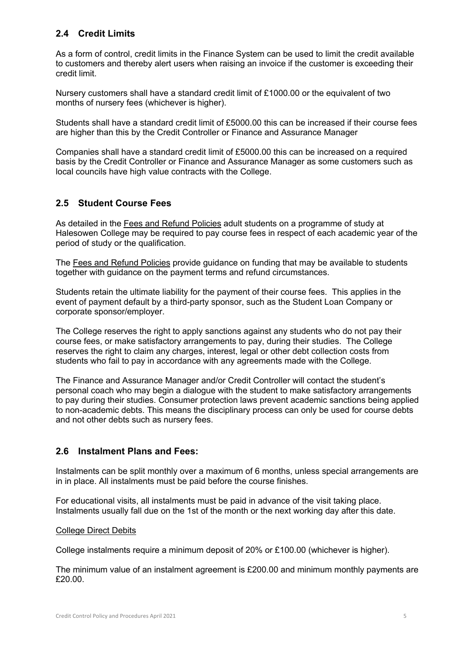# **2.4 Credit Limits**

As a form of control, credit limits in the Finance System can be used to limit the credit available to customers and thereby alert users when raising an invoice if the customer is exceeding their credit limit.

Nursery customers shall have a standard credit limit of £1000.00 or the equivalent of two months of nursery fees (whichever is higher).

Students shall have a standard credit limit of £5000.00 this can be increased if their course fees are higher than this by the Credit Controller or Finance and Assurance Manager

Companies shall have a standard credit limit of £5000.00 this can be increased on a required basis by the Credit Controller or Finance and Assurance Manager as some customers such as local councils have high value contracts with the College.

# **2.5 Student Course Fees**

As detailed in the Fees and Refund Policies adult students on a programme of study at Halesowen College may be required to pay course fees in respect of each academic year of the period of study or the qualification.

The Fees and Refund Policies provide guidance on funding that may be available to students together with guidance on the payment terms and refund circumstances.

Students retain the ultimate liability for the payment of their course fees. This applies in the event of payment default by a third-party sponsor, such as the Student Loan Company or corporate sponsor/employer.

The College reserves the right to apply sanctions against any students who do not pay their course fees, or make satisfactory arrangements to pay, during their studies. The College reserves the right to claim any charges, interest, legal or other debt collection costs from students who fail to pay in accordance with any agreements made with the College.

The Finance and Assurance Manager and/or Credit Controller will contact the student's personal coach who may begin a dialogue with the student to make satisfactory arrangements to pay during their studies. Consumer protection laws prevent academic sanctions being applied to non-academic debts. This means the disciplinary process can only be used for course debts and not other debts such as nursery fees.

#### **2.6 Instalment Plans and Fees:**

Instalments can be split monthly over a maximum of 6 months, unless special arrangements are in in place. All instalments must be paid before the course finishes.

For educational visits, all instalments must be paid in advance of the visit taking place. Instalments usually fall due on the 1st of the month or the next working day after this date.

#### College Direct Debits

College instalments require a minimum deposit of 20% or £100.00 (whichever is higher).

The minimum value of an instalment agreement is £200.00 and minimum monthly payments are £20.00.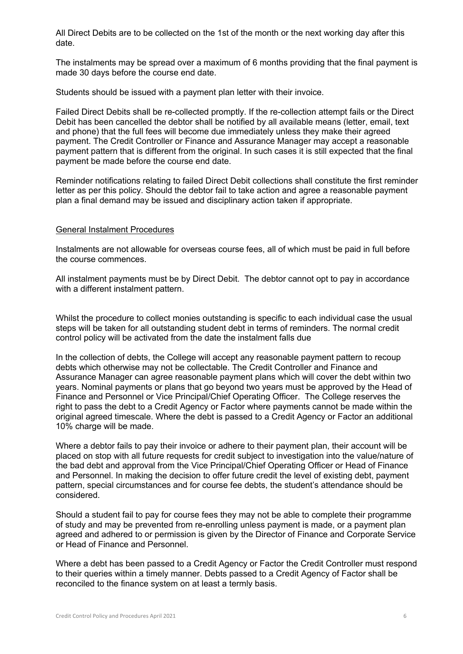All Direct Debits are to be collected on the 1st of the month or the next working day after this date.

The instalments may be spread over a maximum of 6 months providing that the final payment is made 30 days before the course end date.

Students should be issued with a payment plan letter with their invoice.

Failed Direct Debits shall be re-collected promptly. If the re-collection attempt fails or the Direct Debit has been cancelled the debtor shall be notified by all available means (letter, email, text and phone) that the full fees will become due immediately unless they make their agreed payment. The Credit Controller or Finance and Assurance Manager may accept a reasonable payment pattern that is different from the original. In such cases it is still expected that the final payment be made before the course end date.

Reminder notifications relating to failed Direct Debit collections shall constitute the first reminder letter as per this policy. Should the debtor fail to take action and agree a reasonable payment plan a final demand may be issued and disciplinary action taken if appropriate.

#### General Instalment Procedures

Instalments are not allowable for overseas course fees, all of which must be paid in full before the course commences.

All instalment payments must be by Direct Debit. The debtor cannot opt to pay in accordance with a different instalment pattern.

Whilst the procedure to collect monies outstanding is specific to each individual case the usual steps will be taken for all outstanding student debt in terms of reminders. The normal credit control policy will be activated from the date the instalment falls due

In the collection of debts, the College will accept any reasonable payment pattern to recoup debts which otherwise may not be collectable. The Credit Controller and Finance and Assurance Manager can agree reasonable payment plans which will cover the debt within two years. Nominal payments or plans that go beyond two years must be approved by the Head of Finance and Personnel or Vice Principal/Chief Operating Officer. The College reserves the right to pass the debt to a Credit Agency or Factor where payments cannot be made within the original agreed timescale. Where the debt is passed to a Credit Agency or Factor an additional 10% charge will be made.

Where a debtor fails to pay their invoice or adhere to their payment plan, their account will be placed on stop with all future requests for credit subject to investigation into the value/nature of the bad debt and approval from the Vice Principal/Chief Operating Officer or Head of Finance and Personnel. In making the decision to offer future credit the level of existing debt, payment pattern, special circumstances and for course fee debts, the student's attendance should be considered.

Should a student fail to pay for course fees they may not be able to complete their programme of study and may be prevented from re-enrolling unless payment is made, or a payment plan agreed and adhered to or permission is given by the Director of Finance and Corporate Service or Head of Finance and Personnel.

Where a debt has been passed to a Credit Agency or Factor the Credit Controller must respond to their queries within a timely manner. Debts passed to a Credit Agency of Factor shall be reconciled to the finance system on at least a termly basis.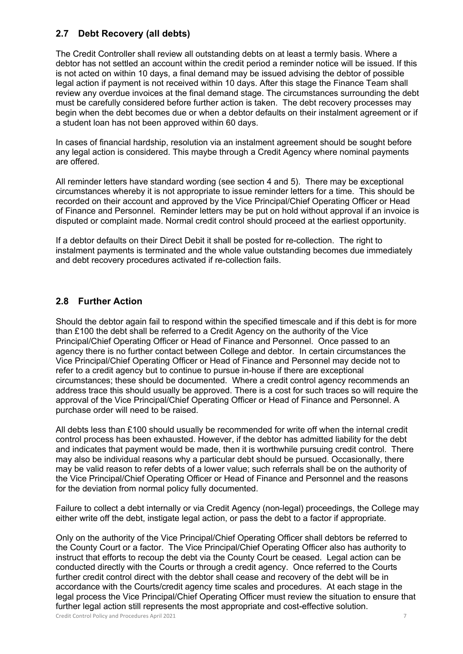### **2.7 Debt Recovery (all debts)**

The Credit Controller shall review all outstanding debts on at least a termly basis. Where a debtor has not settled an account within the credit period a reminder notice will be issued. If this is not acted on within 10 days, a final demand may be issued advising the debtor of possible legal action if payment is not received within 10 days. After this stage the Finance Team shall review any overdue invoices at the final demand stage. The circumstances surrounding the debt must be carefully considered before further action is taken. The debt recovery processes may begin when the debt becomes due or when a debtor defaults on their instalment agreement or if a student loan has not been approved within 60 days.

In cases of financial hardship, resolution via an instalment agreement should be sought before any legal action is considered. This maybe through a Credit Agency where nominal payments are offered.

All reminder letters have standard wording (see section 4 and 5). There may be exceptional circumstances whereby it is not appropriate to issue reminder letters for a time. This should be recorded on their account and approved by the Vice Principal/Chief Operating Officer or Head of Finance and Personnel. Reminder letters may be put on hold without approval if an invoice is disputed or complaint made. Normal credit control should proceed at the earliest opportunity.

If a debtor defaults on their Direct Debit it shall be posted for re-collection. The right to instalment payments is terminated and the whole value outstanding becomes due immediately and debt recovery procedures activated if re-collection fails.

### **2.8 Further Action**

Should the debtor again fail to respond within the specified timescale and if this debt is for more than £100 the debt shall be referred to a Credit Agency on the authority of the Vice Principal/Chief Operating Officer or Head of Finance and Personnel. Once passed to an agency there is no further contact between College and debtor. In certain circumstances the Vice Principal/Chief Operating Officer or Head of Finance and Personnel may decide not to refer to a credit agency but to continue to pursue in-house if there are exceptional circumstances; these should be documented. Where a credit control agency recommends an address trace this should usually be approved. There is a cost for such traces so will require the approval of the Vice Principal/Chief Operating Officer or Head of Finance and Personnel. A purchase order will need to be raised.

All debts less than £100 should usually be recommended for write off when the internal credit control process has been exhausted. However, if the debtor has admitted liability for the debt and indicates that payment would be made, then it is worthwhile pursuing credit control. There may also be individual reasons why a particular debt should be pursued. Occasionally, there may be valid reason to refer debts of a lower value; such referrals shall be on the authority of the Vice Principal/Chief Operating Officer or Head of Finance and Personnel and the reasons for the deviation from normal policy fully documented.

Failure to collect a debt internally or via Credit Agency (non-legal) proceedings, the College may either write off the debt, instigate legal action, or pass the debt to a factor if appropriate.

Credit Control Policy and Procedures April 2021 7 Only on the authority of the Vice Principal/Chief Operating Officer shall debtors be referred to the County Court or a factor. The Vice Principal/Chief Operating Officer also has authority to instruct that efforts to recoup the debt via the County Court be ceased. Legal action can be conducted directly with the Courts or through a credit agency. Once referred to the Courts further credit control direct with the debtor shall cease and recovery of the debt will be in accordance with the Courts/credit agency time scales and procedures. At each stage in the legal process the Vice Principal/Chief Operating Officer must review the situation to ensure that further legal action still represents the most appropriate and cost-effective solution.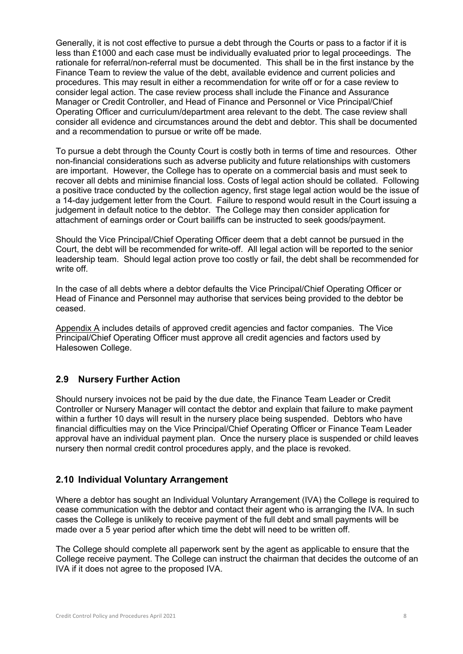Generally, it is not cost effective to pursue a debt through the Courts or pass to a factor if it is less than £1000 and each case must be individually evaluated prior to legal proceedings. The rationale for referral/non-referral must be documented. This shall be in the first instance by the Finance Team to review the value of the debt, available evidence and current policies and procedures. This may result in either a recommendation for write off or for a case review to consider legal action. The case review process shall include the Finance and Assurance Manager or Credit Controller, and Head of Finance and Personnel or Vice Principal/Chief Operating Officer and curriculum/department area relevant to the debt. The case review shall consider all evidence and circumstances around the debt and debtor. This shall be documented and a recommendation to pursue or write off be made.

To pursue a debt through the County Court is costly both in terms of time and resources. Other non-financial considerations such as adverse publicity and future relationships with customers are important. However, the College has to operate on a commercial basis and must seek to recover all debts and minimise financial loss. Costs of legal action should be collated. Following a positive trace conducted by the collection agency, first stage legal action would be the issue of a 14-day judgement letter from the Court. Failure to respond would result in the Court issuing a judgement in default notice to the debtor. The College may then consider application for attachment of earnings order or Court bailiffs can be instructed to seek goods/payment.

Should the Vice Principal/Chief Operating Officer deem that a debt cannot be pursued in the Court, the debt will be recommended for write-off. All legal action will be reported to the senior leadership team. Should legal action prove too costly or fail, the debt shall be recommended for write off.

In the case of all debts where a debtor defaults the Vice Principal/Chief Operating Officer or Head of Finance and Personnel may authorise that services being provided to the debtor be ceased.

Appendix A includes details of approved credit agencies and factor companies. The Vice Principal/Chief Operating Officer must approve all credit agencies and factors used by Halesowen College.

#### **2.9 Nursery Further Action**

Should nursery invoices not be paid by the due date, the Finance Team Leader or Credit Controller or Nursery Manager will contact the debtor and explain that failure to make payment within a further 10 days will result in the nursery place being suspended. Debtors who have financial difficulties may on the Vice Principal/Chief Operating Officer or Finance Team Leader approval have an individual payment plan. Once the nursery place is suspended or child leaves nursery then normal credit control procedures apply, and the place is revoked.

#### **2.10 Individual Voluntary Arrangement**

Where a debtor has sought an Individual Voluntary Arrangement (IVA) the College is required to cease communication with the debtor and contact their agent who is arranging the IVA. In such cases the College is unlikely to receive payment of the full debt and small payments will be made over a 5 year period after which time the debt will need to be written off.

The College should complete all paperwork sent by the agent as applicable to ensure that the College receive payment. The College can instruct the chairman that decides the outcome of an IVA if it does not agree to the proposed IVA.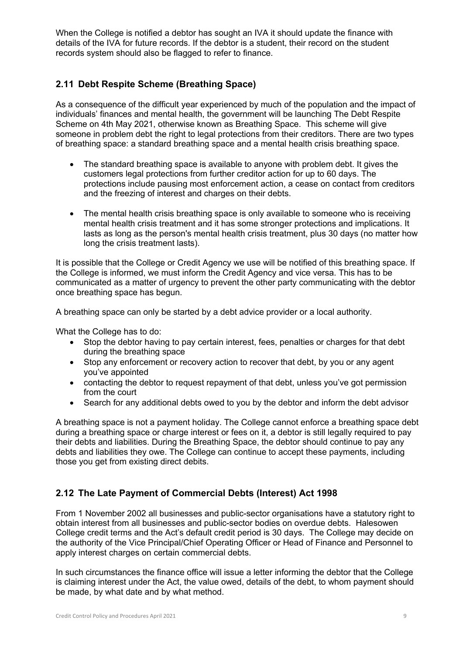When the College is notified a debtor has sought an IVA it should update the finance with details of the IVA for future records. If the debtor is a student, their record on the student records system should also be flagged to refer to finance.

# **2.11 Debt Respite Scheme (Breathing Space)**

As a consequence of the difficult year experienced by much of the population and the impact of individuals' finances and mental health, the government will be launching The Debt Respite Scheme on 4th May 2021, otherwise known as Breathing Space. This scheme will give someone in problem debt the right to legal protections from their creditors. There are two types of breathing space: a standard breathing space and a mental health crisis breathing space.

- The standard breathing space is available to anyone with problem debt. It gives the customers legal protections from further creditor action for up to 60 days. The protections include pausing most enforcement action, a cease on contact from creditors and the freezing of interest and charges on their debts.
- The mental health crisis breathing space is only available to someone who is receiving mental health crisis treatment and it has some stronger protections and implications. It lasts as long as the person's mental health crisis treatment, plus 30 days (no matter how long the crisis treatment lasts).

It is possible that the College or Credit Agency we use will be notified of this breathing space. If the College is informed, we must inform the Credit Agency and vice versa. This has to be communicated as a matter of urgency to prevent the other party communicating with the debtor once breathing space has begun.

A breathing space can only be started by a debt advice provider or a local authority.

What the College has to do:

- Stop the debtor having to pay certain interest, fees, penalties or charges for that debt during the breathing space
- Stop any enforcement or recovery action to recover that debt, by you or any agent you've appointed
- contacting the debtor to request repayment of that debt, unless you've got permission from the court
- Search for any additional debts owed to you by the debtor and inform the debt advisor

A breathing space is not a payment holiday. The College cannot enforce a breathing space debt during a breathing space or charge interest or fees on it, a debtor is still legally required to pay their debts and liabilities. During the Breathing Space, the debtor should continue to pay any debts and liabilities they owe. The College can continue to accept these payments, including those you get from existing direct debits.

# **2.12 The Late Payment of Commercial Debts (Interest) Act 1998**

From 1 November 2002 all businesses and public-sector organisations have a statutory right to obtain interest from all businesses and public-sector bodies on overdue debts. Halesowen College credit terms and the Act's default credit period is 30 days. The College may decide on the authority of the Vice Principal/Chief Operating Officer or Head of Finance and Personnel to apply interest charges on certain commercial debts.

In such circumstances the finance office will issue a letter informing the debtor that the College is claiming interest under the Act, the value owed, details of the debt, to whom payment should be made, by what date and by what method.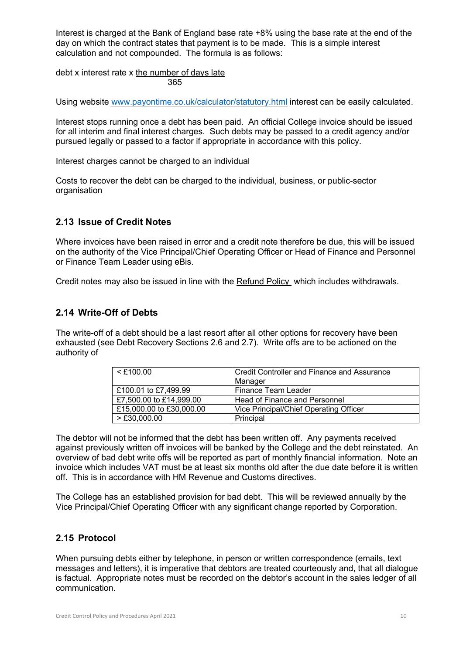Interest is charged at the Bank of England base rate +8% using the base rate at the end of the day on which the contract states that payment is to be made. This is a simple interest calculation and not compounded. The formula is as follows:

debt x interest rate x the number of days late 365

Using website www.payontime.co.uk/calculator/statutory.html interest can be easily calculated.

Interest stops running once a debt has been paid. An official College invoice should be issued for all interim and final interest charges. Such debts may be passed to a credit agency and/or pursued legally or passed to a factor if appropriate in accordance with this policy.

Interest charges cannot be charged to an individual

Costs to recover the debt can be charged to the individual, business, or public-sector organisation

#### **2.13 Issue of Credit Notes**

Where invoices have been raised in error and a credit note therefore be due, this will be issued on the authority of the Vice Principal/Chief Operating Officer or Head of Finance and Personnel or Finance Team Leader using eBis.

Credit notes may also be issued in line with the Refund Policy which includes withdrawals.

#### **2.14 Write-Off of Debts**

The write-off of a debt should be a last resort after all other options for recovery have been exhausted (see Debt Recovery Sections 2.6 and 2.7). Write offs are to be actioned on the authority of

| $<$ £100.00              | Credit Controller and Finance and Assurance |
|--------------------------|---------------------------------------------|
|                          | Manager                                     |
| £100.01 to £7,499.99     | Finance Team Leader                         |
| £7,500.00 to £14,999.00  | Head of Finance and Personnel               |
| £15,000.00 to £30,000.00 | Vice Principal/Chief Operating Officer      |
| $>$ £30,000.00           | Principal                                   |

The debtor will not be informed that the debt has been written off. Any payments received against previously written off invoices will be banked by the College and the debt reinstated. An overview of bad debt write offs will be reported as part of monthly financial information. Note an invoice which includes VAT must be at least six months old after the due date before it is written off. This is in accordance with HM Revenue and Customs directives.

The College has an established provision for bad debt. This will be reviewed annually by the Vice Principal/Chief Operating Officer with any significant change reported by Corporation.

#### **2.15 Protocol**

When pursuing debts either by telephone, in person or written correspondence (emails, text messages and letters), it is imperative that debtors are treated courteously and, that all dialogue is factual. Appropriate notes must be recorded on the debtor's account in the sales ledger of all communication.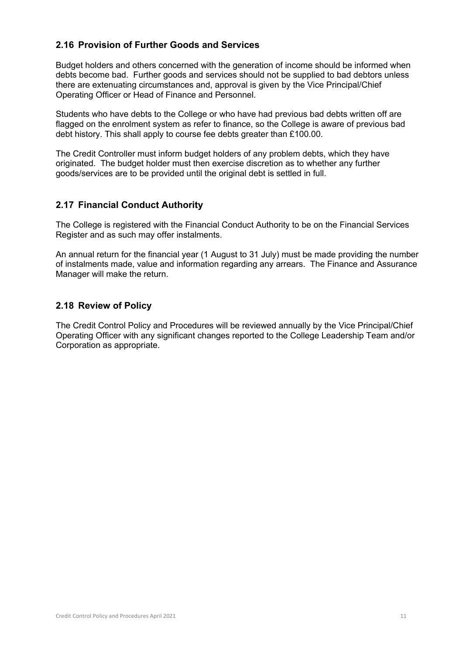### **2.16 Provision of Further Goods and Services**

Budget holders and others concerned with the generation of income should be informed when debts become bad. Further goods and services should not be supplied to bad debtors unless there are extenuating circumstances and, approval is given by the Vice Principal/Chief Operating Officer or Head of Finance and Personnel.

Students who have debts to the College or who have had previous bad debts written off are flagged on the enrolment system as refer to finance, so the College is aware of previous bad debt history. This shall apply to course fee debts greater than £100.00.

The Credit Controller must inform budget holders of any problem debts, which they have originated. The budget holder must then exercise discretion as to whether any further goods/services are to be provided until the original debt is settled in full.

#### **2.17 Financial Conduct Authority**

The College is registered with the Financial Conduct Authority to be on the Financial Services Register and as such may offer instalments.

An annual return for the financial year (1 August to 31 July) must be made providing the number of instalments made, value and information regarding any arrears. The Finance and Assurance Manager will make the return.

#### **2.18 Review of Policy**

The Credit Control Policy and Procedures will be reviewed annually by the Vice Principal/Chief Operating Officer with any significant changes reported to the College Leadership Team and/or Corporation as appropriate.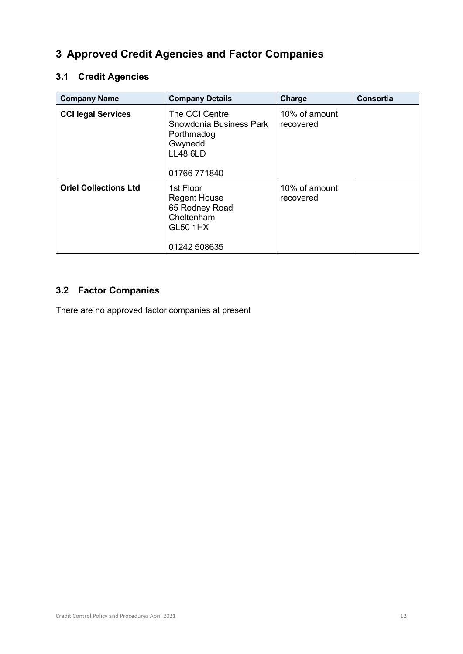# **3 Approved Credit Agencies and Factor Companies**

# **3.1 Credit Agencies**

| <b>Company Name</b>          | <b>Company Details</b>                                                                                | Charge                     | Consortia |
|------------------------------|-------------------------------------------------------------------------------------------------------|----------------------------|-----------|
| <b>CCI legal Services</b>    | The CCI Centre<br>Snowdonia Business Park<br>Porthmadog<br>Gwynedd<br><b>LL48 6LD</b><br>01766 771840 | 10% of amount<br>recovered |           |
| <b>Oriel Collections Ltd</b> | 1st Floor<br><b>Regent House</b><br>65 Rodney Road<br>Cheltenham<br><b>GL50 1HX</b><br>01242 508635   | 10% of amount<br>recovered |           |

# **3.2 Factor Companies**

There are no approved factor companies at present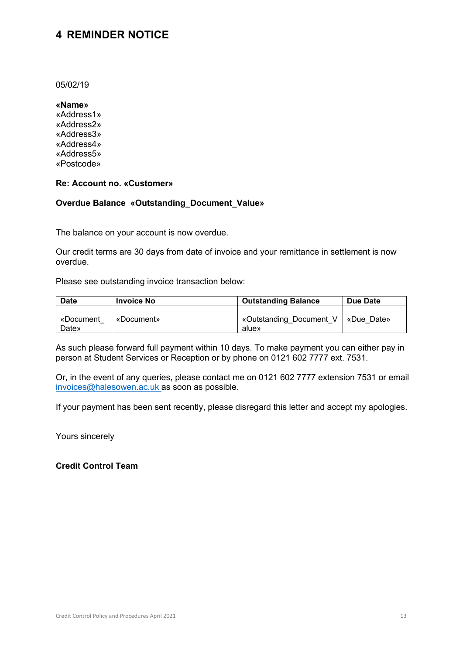# **4 REMINDER NOTICE**

05/02/19

**«Name»**

«Address1» «Address2» «Address3» «Address4» «Address5» «Postcode»

#### **Re: Account no. «Customer»**

#### **Overdue Balance «Outstanding\_Document\_Value»**

The balance on your account is now overdue.

Our credit terms are 30 days from date of invoice and your remittance in settlement is now overdue.

Please see outstanding invoice transaction below:

| <b>Date</b>        | <b>Invoice No</b> | <b>Outstanding Balance</b>                    | Due Date |
|--------------------|-------------------|-----------------------------------------------|----------|
| «Document<br>Date» | «Document»        | «Outstanding Document V   «Due Date»<br>alue» |          |

As such please forward full payment within 10 days. To make payment you can either pay in person at Student Services or Reception or by phone on 0121 602 7777 ext. 7531.

Or, in the event of any queries, please contact me on 0121 602 7777 extension 7531 or email invoices@halesowen.ac.uk as soon as possible.

If your payment has been sent recently, please disregard this letter and accept my apologies.

Yours sincerely

**Credit Control Team**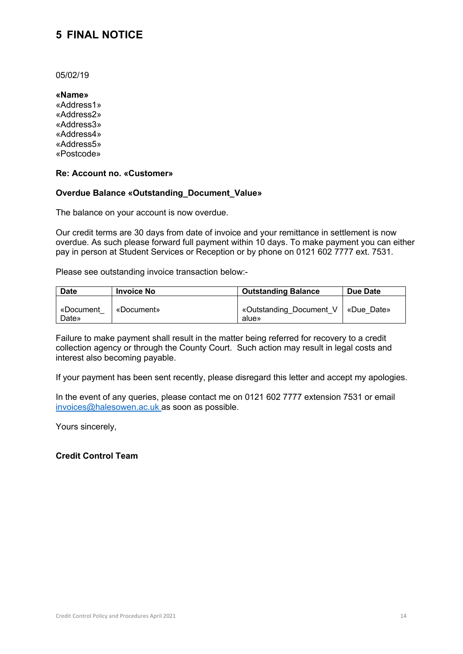# **5 FINAL NOTICE**

05/02/19

**«Name»** «Address1» «Address2» «Address3» «Address4» «Address5» «Postcode»

#### **Re: Account no. «Customer»**

#### **Overdue Balance «Outstanding\_Document\_Value»**

The balance on your account is now overdue.

Our credit terms are 30 days from date of invoice and your remittance in settlement is now overdue. As such please forward full payment within 10 days. To make payment you can either pay in person at Student Services or Reception or by phone on 0121 602 7777 ext. 7531.

Please see outstanding invoice transaction below:-

| <b>Date</b>        | <b>Invoice No</b> | <b>Outstanding Balance</b>                    | Due Date |
|--------------------|-------------------|-----------------------------------------------|----------|
| «Document<br>Date» | «Document»        | «Outstanding Document V   «Due Date»<br>alue» |          |

Failure to make payment shall result in the matter being referred for recovery to a credit collection agency or through the County Court. Such action may result in legal costs and interest also becoming payable.

If your payment has been sent recently, please disregard this letter and accept my apologies.

In the event of any queries, please contact me on 0121 602 7777 extension 7531 or email invoices@halesowen.ac.uk as soon as possible.

Yours sincerely,

#### **Credit Control Team**